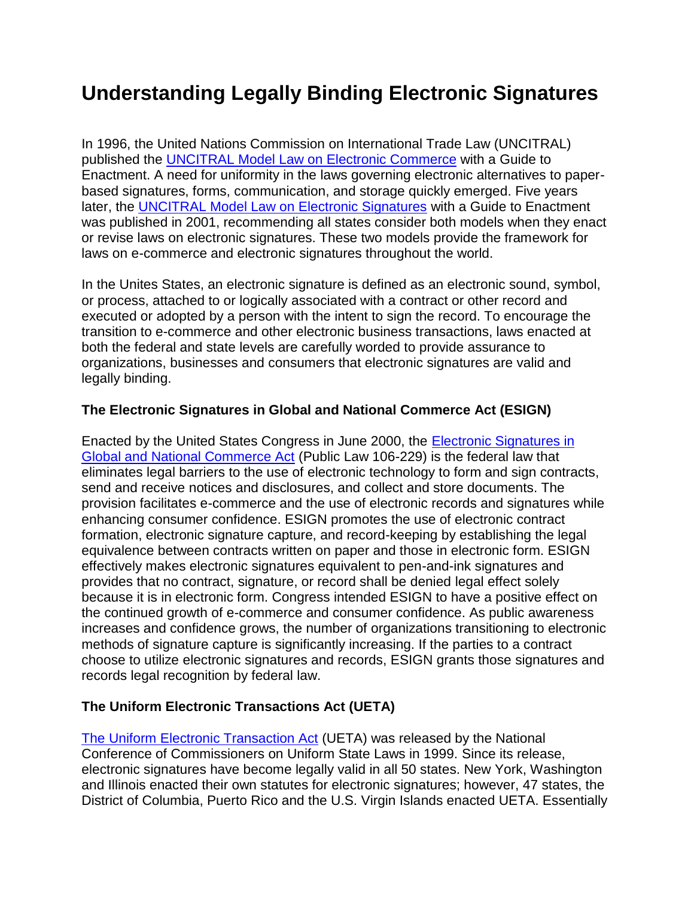# **Understanding Legally Binding Electronic Signatures**

In 1996, the United Nations Commission on International Trade Law (UNCITRAL) published the [UNCITRAL Model Law on Electronic Commerce](http://www.uncitral.org/uncitral/en/uncitral_texts/electronic_commerce/1996Model.html) with a Guide to Enactment. A need for uniformity in the laws governing electronic alternatives to paperbased signatures, forms, communication, and storage quickly emerged. Five years later, the [UNCITRAL Model Law on Electronic Signatures](http://www.uncitral.org/uncitral/uncitral_texts/electronic_commerce/2001Model_signatures.html) with a Guide to Enactment was published in 2001, recommending all states consider both models when they enact or revise laws on electronic signatures. These two models provide the framework for laws on e-commerce and electronic signatures throughout the world.

In the Unites States, an electronic signature is defined as an electronic sound, symbol, or process, attached to or logically associated with a contract or other record and executed or adopted by a person with the intent to sign the record. To encourage the transition to e-commerce and other electronic business transactions, laws enacted at both the federal and state levels are carefully worded to provide assurance to organizations, businesses and consumers that electronic signatures are valid and legally binding.

## **The Electronic Signatures in Global and National Commerce Act (ESIGN)**

Enacted by the United States Congress in June 2000, the [Electronic Signatures in](http://www.ftc.gov/os/2001/06/esign7.htm)  [Global and National Commerce Act](http://www.ftc.gov/os/2001/06/esign7.htm) (Public Law 106-229) is the federal law that eliminates legal barriers to the use of electronic technology to form and sign contracts, send and receive notices and disclosures, and collect and store documents. The provision facilitates e-commerce and the use of electronic records and signatures while enhancing consumer confidence. ESIGN promotes the use of electronic contract formation, electronic signature capture, and record-keeping by establishing the legal equivalence between contracts written on paper and those in electronic form. ESIGN effectively makes electronic signatures equivalent to pen-and-ink signatures and provides that no contract, signature, or record shall be denied legal effect solely because it is in electronic form. Congress intended ESIGN to have a positive effect on the continued growth of e-commerce and consumer confidence. As public awareness increases and confidence grows, the number of organizations transitioning to electronic methods of signature capture is significantly increasing. If the parties to a contract choose to utilize electronic signatures and records, ESIGN grants those signatures and records legal recognition by federal law.

# **The Uniform Electronic Transactions Act (UETA)**

[The Uniform Electronic Transaction Act](http://www.nccusl.org/ActSummary.aspx?title=Electronic%20Transactions%20Act) (UETA) was released by the National Conference of Commissioners on Uniform State Laws in 1999. Since its release, electronic signatures have become legally valid in all 50 states. New York, Washington and Illinois enacted their own statutes for electronic signatures; however, 47 states, the District of Columbia, Puerto Rico and the U.S. Virgin Islands enacted UETA. Essentially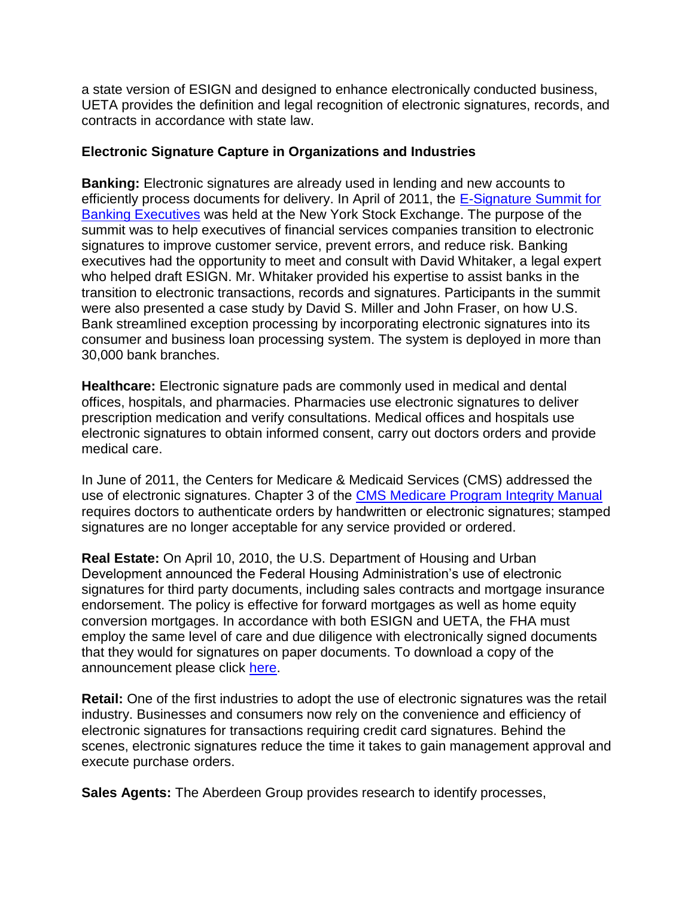a state version of ESIGN and designed to enhance electronically conducted business, UETA provides the definition and legal recognition of electronic signatures, records, and contracts in accordance with state law.

#### **Electronic Signature Capture in Organizations and Industries**

**Banking:** Electronic signatures are already used in lending and new accounts to efficiently process documents for delivery. In April of 2011, the [E-Signature Summit for](http://soa.sys-con.com/node/1806717)  [Banking Executives](http://soa.sys-con.com/node/1806717) was held at the New York Stock Exchange. The purpose of the summit was to help executives of financial services companies transition to electronic signatures to improve customer service, prevent errors, and reduce risk. Banking executives had the opportunity to meet and consult with David Whitaker, a legal expert who helped draft ESIGN. Mr. Whitaker provided his expertise to assist banks in the transition to electronic transactions, records and signatures. Participants in the summit were also presented a case study by David S. Miller and John Fraser, on how U.S. Bank streamlined exception processing by incorporating electronic signatures into its consumer and business loan processing system. The system is deployed in more than 30,000 bank branches.

**Healthcare:** Electronic signature pads are commonly used in medical and dental offices, hospitals, and pharmacies. Pharmacies use electronic signatures to deliver prescription medication and verify consultations. Medical offices and hospitals use electronic signatures to obtain informed consent, carry out doctors orders and provide medical care.

In June of 2011, the Centers for Medicare & Medicaid Services (CMS) addressed the use of electronic signatures. Chapter 3 of the [CMS Medicare Program Integrity Manual](https://docs.google.com/viewer?a=v&q=cache:fwD_YqTBplUJ:https://www.cms.gov/manuals/downloads/pim83c03.pdf+medicare+program+integrity+manual+chapter+3&hl=en&gl=us&pid=bl&srcid=ADGEESgOd9lagUqhoFLSnmAbVgUjnzkfP_XMiDfKO2lBn3Y5749NA9GyfBaOwAWIITUMCjFR07dQ7AtwTf85EzJo5fayK7Njmwhwvc8G4ftGFjrcZ8QTJM7kSdBEXZivS3CSAQgazj_Z&sig=AHIEtbSpLJ-ys2dAwochjX8h_Kpon3osNA) requires doctors to authenticate orders by handwritten or electronic signatures; stamped signatures are no longer acceptable for any service provided or ordered.

**Real Estate:** On April 10, 2010, the U.S. Department of Housing and Urban Development announced the Federal Housing Administration's use of electronic signatures for third party documents, including sales contracts and mortgage insurance endorsement. The policy is effective for forward mortgages as well as home equity conversion mortgages. In accordance with both ESIGN and UETA, the FHA must employ the same level of care and due diligence with electronically signed documents that they would for signatures on paper documents. To download a copy of the announcement please click [here.](http://www.hud.gov/offices/adm/hudclips/letters/mortgagee/files/10-14ml.pdf)

**Retail:** One of the first industries to adopt the use of electronic signatures was the retail industry. Businesses and consumers now rely on the convenience and efficiency of electronic signatures for transactions requiring credit card signatures. Behind the scenes, electronic signatures reduce the time it takes to gain management approval and execute purchase orders.

**Sales Agents:** The Aberdeen Group provides research to identify processes,